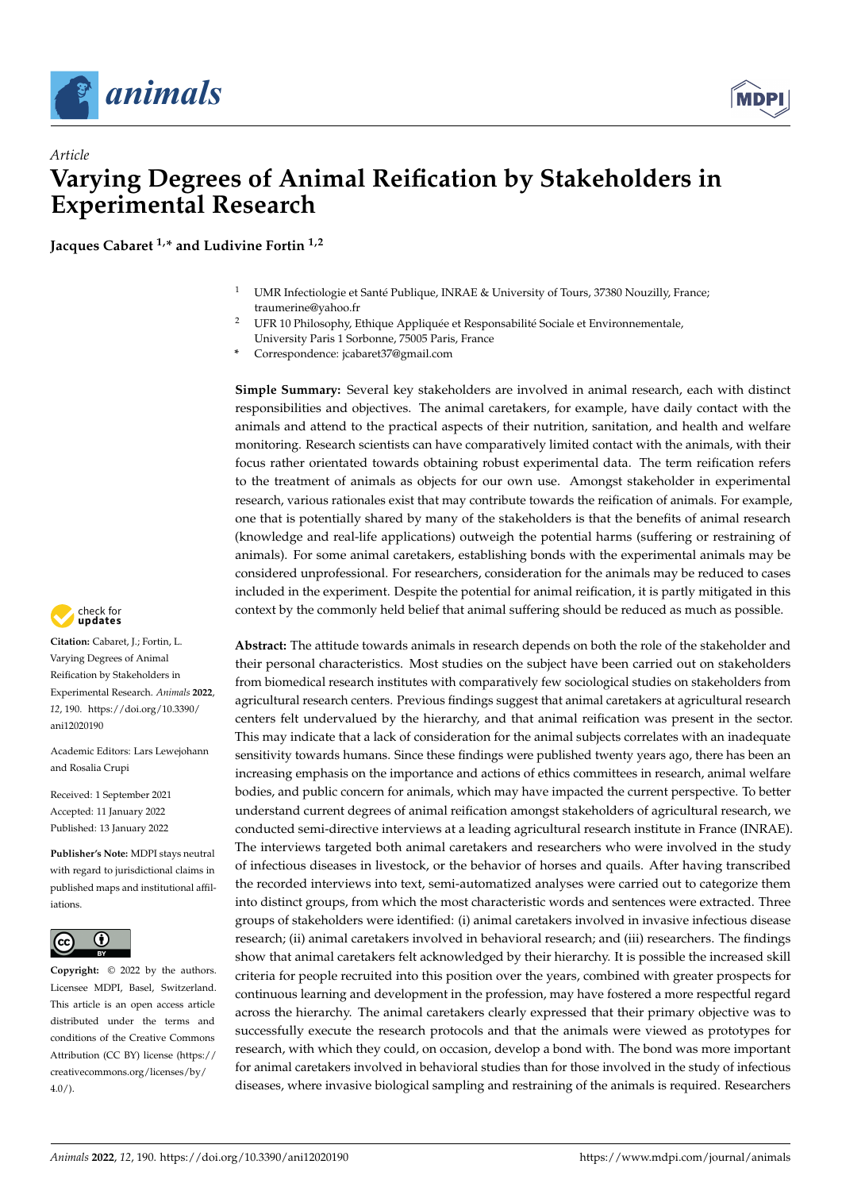



# *Article* **Varying Degrees of Animal Reification by Stakeholders in Experimental Research**

**Jacques Cabaret 1,\* and Ludivine Fortin 1,2**

- UMR Infectiologie et Santé Publique, INRAE & University of Tours, 37380 Nouzilly, France; traumerine@yahoo.fr
- <sup>2</sup> UFR 10 Philosophy, Ethique Appliquée et Responsabilité Sociale et Environnementale, University Paris 1 Sorbonne, 75005 Paris, France
- **\*** Correspondence: jcabaret37@gmail.com

**Simple Summary:** Several key stakeholders are involved in animal research, each with distinct responsibilities and objectives. The animal caretakers, for example, have daily contact with the animals and attend to the practical aspects of their nutrition, sanitation, and health and welfare monitoring. Research scientists can have comparatively limited contact with the animals, with their focus rather orientated towards obtaining robust experimental data. The term reification refers to the treatment of animals as objects for our own use. Amongst stakeholder in experimental research, various rationales exist that may contribute towards the reification of animals. For example, one that is potentially shared by many of the stakeholders is that the benefits of animal research (knowledge and real-life applications) outweigh the potential harms (suffering or restraining of animals). For some animal caretakers, establishing bonds with the experimental animals may be considered unprofessional. For researchers, consideration for the animals may be reduced to cases included in the experiment. Despite the potential for animal reification, it is partly mitigated in this context by the commonly held belief that animal suffering should be reduced as much as possible.

**Abstract:** The attitude towards animals in research depends on both the role of the stakeholder and their personal characteristics. Most studies on the subject have been carried out on stakeholders from biomedical research institutes with comparatively few sociological studies on stakeholders from agricultural research centers. Previous findings suggest that animal caretakers at agricultural research centers felt undervalued by the hierarchy, and that animal reification was present in the sector. This may indicate that a lack of consideration for the animal subjects correlates with an inadequate sensitivity towards humans. Since these findings were published twenty years ago, there has been an increasing emphasis on the importance and actions of ethics committees in research, animal welfare bodies, and public concern for animals, which may have impacted the current perspective. To better understand current degrees of animal reification amongst stakeholders of agricultural research, we conducted semi-directive interviews at a leading agricultural research institute in France (INRAE). The interviews targeted both animal caretakers and researchers who were involved in the study of infectious diseases in livestock, or the behavior of horses and quails. After having transcribed the recorded interviews into text, semi-automatized analyses were carried out to categorize them into distinct groups, from which the most characteristic words and sentences were extracted. Three groups of stakeholders were identified: (i) animal caretakers involved in invasive infectious disease research; (ii) animal caretakers involved in behavioral research; and (iii) researchers. The findings show that animal caretakers felt acknowledged by their hierarchy. It is possible the increased skill criteria for people recruited into this position over the years, combined with greater prospects for continuous learning and development in the profession, may have fostered a more respectful regard across the hierarchy. The animal caretakers clearly expressed that their primary objective was to successfully execute the research protocols and that the animals were viewed as prototypes for research, with which they could, on occasion, develop a bond with. The bond was more important for animal caretakers involved in behavioral studies than for those involved in the study of infectious diseases, where invasive biological sampling and restraining of the animals is required. Researchers



**Citation:** Cabaret, J.; Fortin, L. Varying Degrees of Animal Reification by Stakeholders in Experimental Research. *Animals* **2022**, *12*, 190. [https://doi.org/10.3390/](https://doi.org/10.3390/ani12020190) [ani12020190](https://doi.org/10.3390/ani12020190)

Academic Editors: Lars Lewejohann and Rosalia Crupi

Received: 1 September 2021 Accepted: 11 January 2022 Published: 13 January 2022

**Publisher's Note:** MDPI stays neutral with regard to jurisdictional claims in published maps and institutional affiliations.



**Copyright:** © 2022 by the authors. Licensee MDPI, Basel, Switzerland. This article is an open access article distributed under the terms and conditions of the Creative Commons Attribution (CC BY) license [\(https://](https://creativecommons.org/licenses/by/4.0/) [creativecommons.org/licenses/by/](https://creativecommons.org/licenses/by/4.0/)  $4.0/$ ).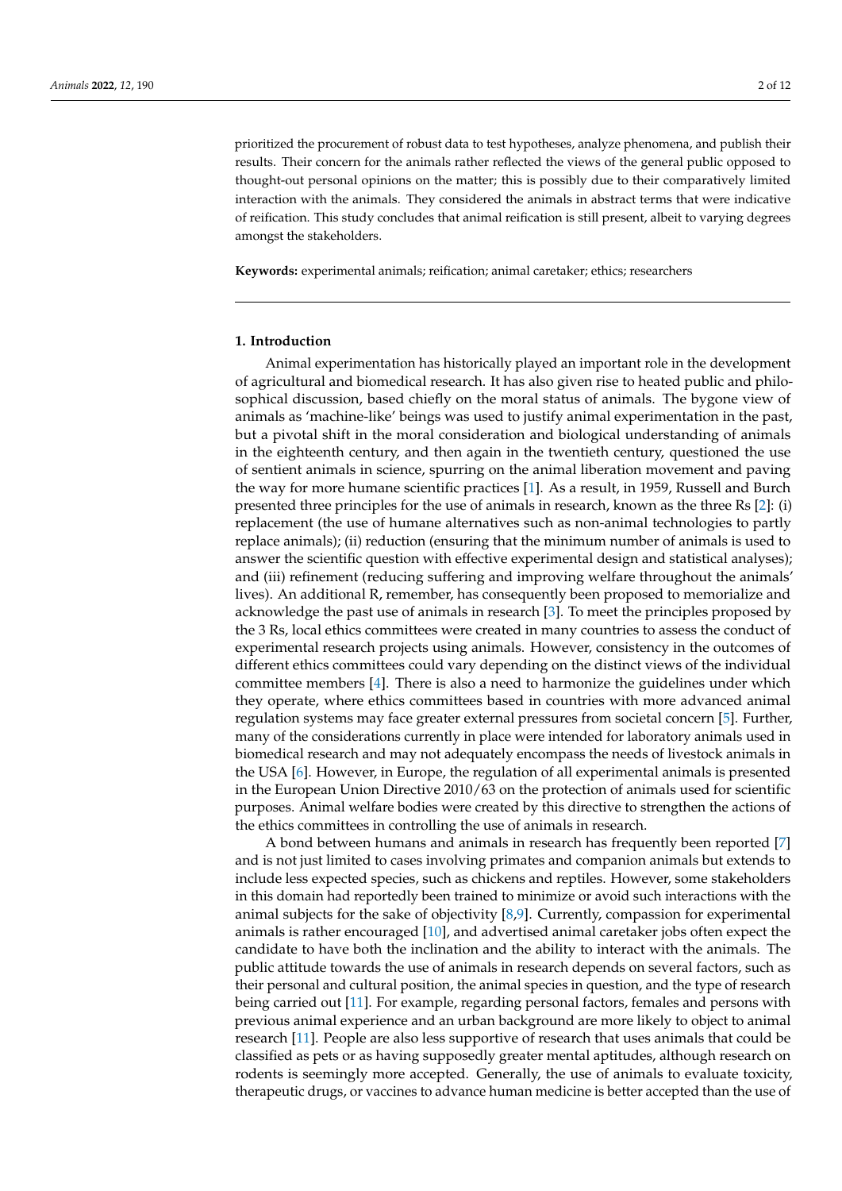prioritized the procurement of robust data to test hypotheses, analyze phenomena, and publish their results. Their concern for the animals rather reflected the views of the general public opposed to thought-out personal opinions on the matter; this is possibly due to their comparatively limited interaction with the animals. They considered the animals in abstract terms that were indicative of reification. This study concludes that animal reification is still present, albeit to varying degrees amongst the stakeholders.

**Keywords:** experimental animals; reification; animal caretaker; ethics; researchers

#### **1. Introduction**

Animal experimentation has historically played an important role in the development of agricultural and biomedical research. It has also given rise to heated public and philosophical discussion, based chiefly on the moral status of animals. The bygone view of animals as 'machine-like' beings was used to justify animal experimentation in the past, but a pivotal shift in the moral consideration and biological understanding of animals in the eighteenth century, and then again in the twentieth century, questioned the use of sentient animals in science, spurring on the animal liberation movement and paving the way for more humane scientific practices [\[1\]](#page-10-0). As a result, in 1959, Russell and Burch presented three principles for the use of animals in research, known as the three Rs [\[2\]](#page-10-1): (i) replacement (the use of humane alternatives such as non-animal technologies to partly replace animals); (ii) reduction (ensuring that the minimum number of animals is used to answer the scientific question with effective experimental design and statistical analyses); and (iii) refinement (reducing suffering and improving welfare throughout the animals' lives). An additional R, remember, has consequently been proposed to memorialize and acknowledge the past use of animals in research [\[3\]](#page-10-2). To meet the principles proposed by the 3 Rs, local ethics committees were created in many countries to assess the conduct of experimental research projects using animals. However, consistency in the outcomes of different ethics committees could vary depending on the distinct views of the individual committee members [\[4\]](#page-10-3). There is also a need to harmonize the guidelines under which they operate, where ethics committees based in countries with more advanced animal regulation systems may face greater external pressures from societal concern [\[5\]](#page-10-4). Further, many of the considerations currently in place were intended for laboratory animals used in biomedical research and may not adequately encompass the needs of livestock animals in the USA [\[6\]](#page-10-5). However, in Europe, the regulation of all experimental animals is presented in the European Union Directive 2010/63 on the protection of animals used for scientific purposes. Animal welfare bodies were created by this directive to strengthen the actions of the ethics committees in controlling the use of animals in research.

A bond between humans and animals in research has frequently been reported [\[7\]](#page-10-6) and is not just limited to cases involving primates and companion animals but extends to include less expected species, such as chickens and reptiles. However, some stakeholders in this domain had reportedly been trained to minimize or avoid such interactions with the animal subjects for the sake of objectivity  $[8,9]$  $[8,9]$ . Currently, compassion for experimental animals is rather encouraged [\[10\]](#page-10-9), and advertised animal caretaker jobs often expect the candidate to have both the inclination and the ability to interact with the animals. The public attitude towards the use of animals in research depends on several factors, such as their personal and cultural position, the animal species in question, and the type of research being carried out [\[11\]](#page-10-10). For example, regarding personal factors, females and persons with previous animal experience and an urban background are more likely to object to animal research [\[11\]](#page-10-10). People are also less supportive of research that uses animals that could be classified as pets or as having supposedly greater mental aptitudes, although research on rodents is seemingly more accepted. Generally, the use of animals to evaluate toxicity, therapeutic drugs, or vaccines to advance human medicine is better accepted than the use of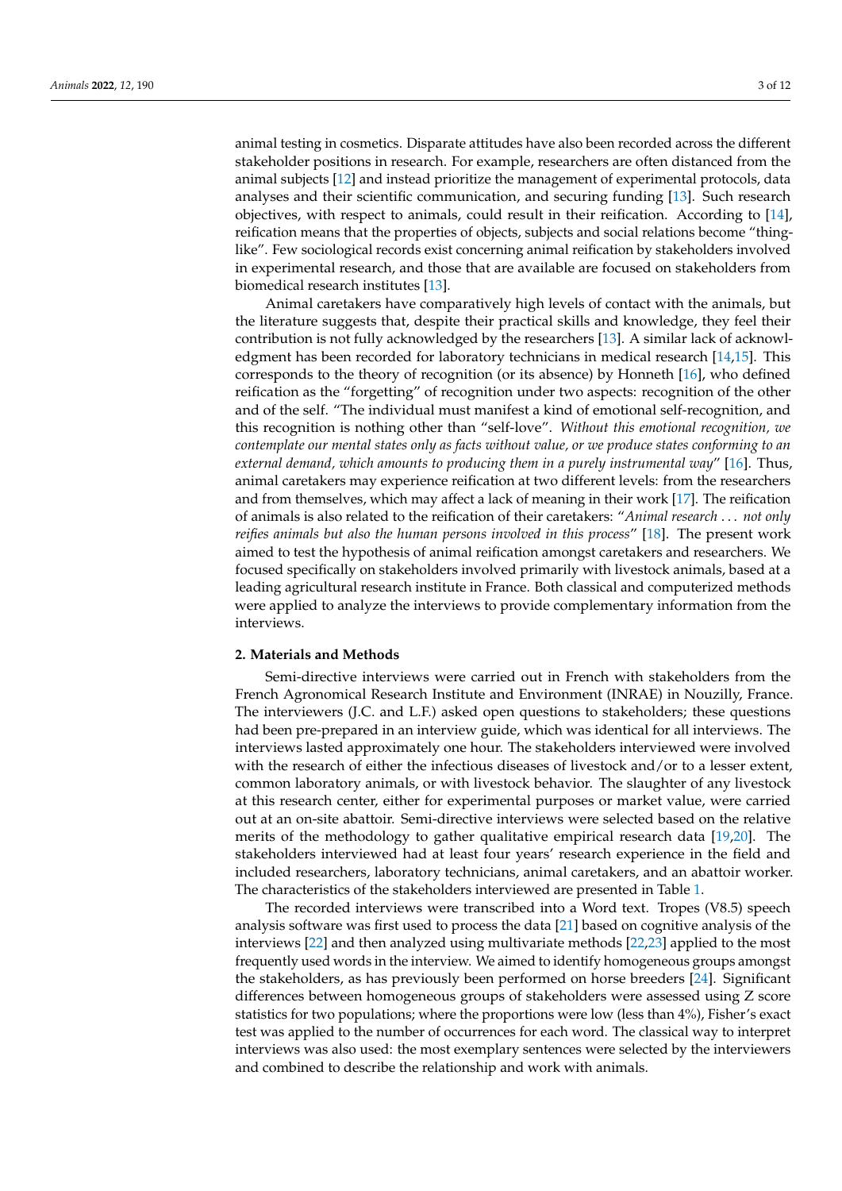animal testing in cosmetics. Disparate attitudes have also been recorded across the different stakeholder positions in research. For example, researchers are often distanced from the animal subjects [\[12\]](#page-10-11) and instead prioritize the management of experimental protocols, data analyses and their scientific communication, and securing funding [\[13\]](#page-10-12). Such research objectives, with respect to animals, could result in their reification. According to [\[14\]](#page-10-13), reification means that the properties of objects, subjects and social relations become "thinglike". Few sociological records exist concerning animal reification by stakeholders involved in experimental research, and those that are available are focused on stakeholders from biomedical research institutes [\[13\]](#page-10-12).

Animal caretakers have comparatively high levels of contact with the animals, but the literature suggests that, despite their practical skills and knowledge, they feel their contribution is not fully acknowledged by the researchers [\[13\]](#page-10-12). A similar lack of acknowledgment has been recorded for laboratory technicians in medical research [\[14,](#page-10-13)[15\]](#page-10-14). This corresponds to the theory of recognition (or its absence) by Honneth [\[16\]](#page-10-15), who defined reification as the "forgetting" of recognition under two aspects: recognition of the other and of the self. "The individual must manifest a kind of emotional self-recognition, and this recognition is nothing other than "self-love". *Without this emotional recognition, we contemplate our mental states only as facts without value, or we produce states conforming to an external demand, which amounts to producing them in a purely instrumental way*" [\[16\]](#page-10-15). Thus, animal caretakers may experience reification at two different levels: from the researchers and from themselves, which may affect a lack of meaning in their work [\[17\]](#page-10-16). The reification of animals is also related to the reification of their caretakers: "*Animal research* . . . *not only reifies animals but also the human persons involved in this process*" [\[18\]](#page-10-17). The present work aimed to test the hypothesis of animal reification amongst caretakers and researchers. We focused specifically on stakeholders involved primarily with livestock animals, based at a leading agricultural research institute in France. Both classical and computerized methods were applied to analyze the interviews to provide complementary information from the interviews.

# **2. Materials and Methods**

Semi-directive interviews were carried out in French with stakeholders from the French Agronomical Research Institute and Environment (INRAE) in Nouzilly, France. The interviewers (J.C. and L.F.) asked open questions to stakeholders; these questions had been pre-prepared in an interview guide, which was identical for all interviews. The interviews lasted approximately one hour. The stakeholders interviewed were involved with the research of either the infectious diseases of livestock and/or to a lesser extent, common laboratory animals, or with livestock behavior. The slaughter of any livestock at this research center, either for experimental purposes or market value, were carried out at an on-site abattoir. Semi-directive interviews were selected based on the relative merits of the methodology to gather qualitative empirical research data [\[19](#page-10-18)[,20\]](#page-10-19). The stakeholders interviewed had at least four years' research experience in the field and included researchers, laboratory technicians, animal caretakers, and an abattoir worker. The characteristics of the stakeholders interviewed are presented in Table [1.](#page-3-0)

The recorded interviews were transcribed into a Word text. Tropes (V8.5) speech analysis software was first used to process the data [\[21\]](#page-10-20) based on cognitive analysis of the interviews [\[22\]](#page-10-21) and then analyzed using multivariate methods [\[22](#page-10-21)[,23\]](#page-10-22) applied to the most frequently used words in the interview. We aimed to identify homogeneous groups amongst the stakeholders, as has previously been performed on horse breeders [\[24\]](#page-10-23). Significant differences between homogeneous groups of stakeholders were assessed using Z score statistics for two populations; where the proportions were low (less than 4%), Fisher's exact test was applied to the number of occurrences for each word. The classical way to interpret interviews was also used: the most exemplary sentences were selected by the interviewers and combined to describe the relationship and work with animals.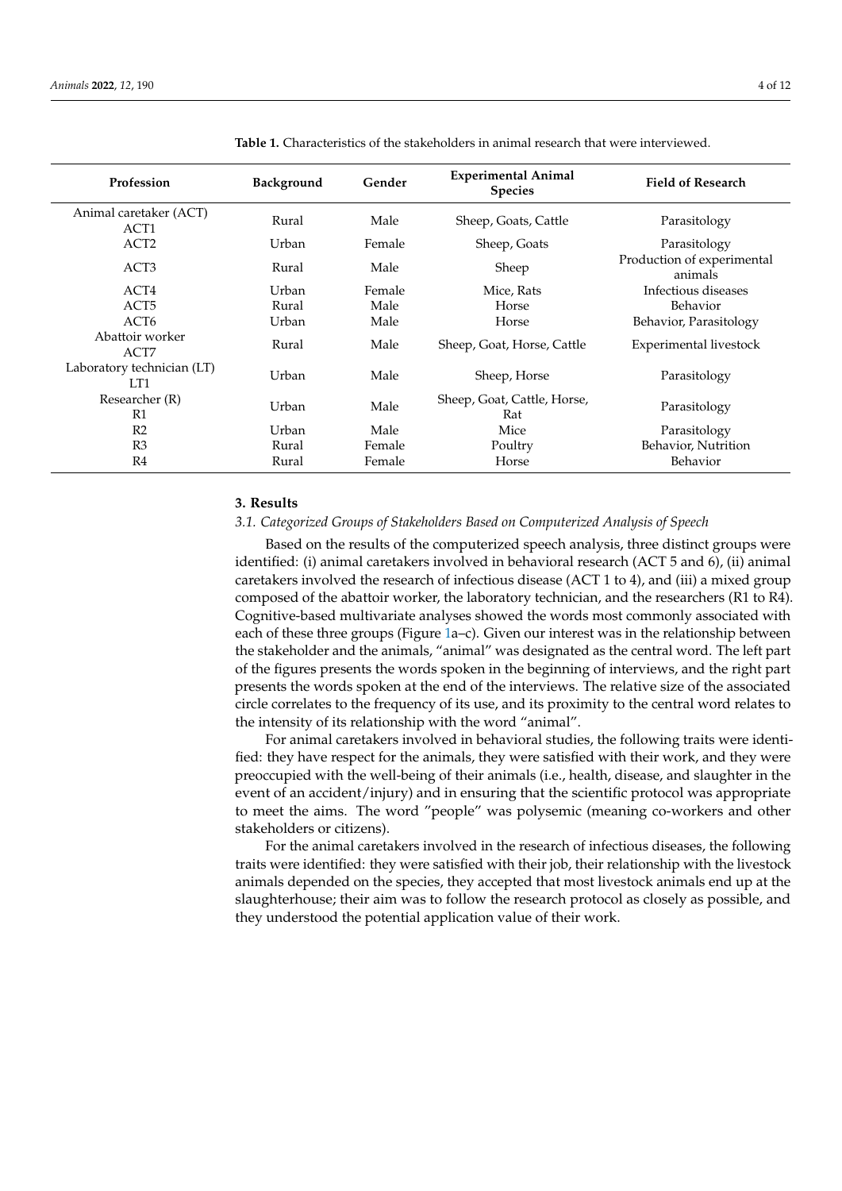| Profession                        | Background | Gender | <b>Experimental Animal</b><br><b>Species</b> | <b>Field of Research</b>              |
|-----------------------------------|------------|--------|----------------------------------------------|---------------------------------------|
| Animal caretaker (ACT)<br>ACT1    | Rural      | Male   | Sheep, Goats, Cattle                         | Parasitology                          |
| ACT <sub>2</sub>                  | Urban      | Female | Sheep, Goats                                 | Parasitology                          |
| ACT <sub>3</sub>                  | Rural      | Male   | Sheep                                        | Production of experimental<br>animals |
| ACT4                              | Urban      | Female | Mice, Rats                                   | Infectious diseases                   |
| ACT <sub>5</sub>                  | Rural      | Male   | Horse                                        | Behavior                              |
| ACT <sub>6</sub>                  | Urban      | Male   | Horse                                        | Behavior, Parasitology                |
| Abattoir worker<br>ACT7           | Rural      | Male   | Sheep, Goat, Horse, Cattle                   | Experimental livestock                |
| Laboratory technician (LT)<br>LT1 | Urban      | Male   | Sheep, Horse                                 | Parasitology                          |
| Researcher (R)<br>R1              | Urban      | Male   | Sheep, Goat, Cattle, Horse,<br>Rat           | Parasitology                          |
| R <sub>2</sub>                    | Urban      | Male   | Mice                                         | Parasitology                          |
| R <sub>3</sub>                    | Rural      | Female | Poultry                                      | Behavior, Nutrition                   |
| R4                                | Rural      | Female | Horse                                        | Behavior                              |

<span id="page-3-0"></span>**Table 1.** Characteristics of the stakeholders in animal research that were interviewed.

# **3. Results**

# *3.1. Categorized Groups of Stakeholders Based on Computerized Analysis of Speech*

Based on the results of the computerized speech analysis, three distinct groups were identified: (i) animal caretakers involved in behavioral research (ACT 5 and 6), (ii) animal caretakers involved the research of infectious disease (ACT 1 to 4), and (iii) a mixed group composed of the abattoir worker, the laboratory technician, and the researchers (R1 to R4). Cognitive-based multivariate analyses showed the words most commonly associated with each of these three groups (Figure [1a](#page-4-0)–c). Given our interest was in the relationship between the stakeholder and the animals, "animal" was designated as the central word. The left part of the figures presents the words spoken in the beginning of interviews, and the right part presents the words spoken at the end of the interviews. The relative size of the associated circle correlates to the frequency of its use, and its proximity to the central word relates to the intensity of its relationship with the word "animal".

For animal caretakers involved in behavioral studies, the following traits were identified: they have respect for the animals, they were satisfied with their work, and they were preoccupied with the well-being of their animals (i.e., health, disease, and slaughter in the event of an accident/injury) and in ensuring that the scientific protocol was appropriate to meet the aims. The word "people" was polysemic (meaning co-workers and other stakeholders or citizens).

For the animal caretakers involved in the research of infectious diseases, the following traits were identified: they were satisfied with their job, their relationship with the livestock animals depended on the species, they accepted that most livestock animals end up at the slaughterhouse; their aim was to follow the research protocol as closely as possible, and they understood the potential application value of their work.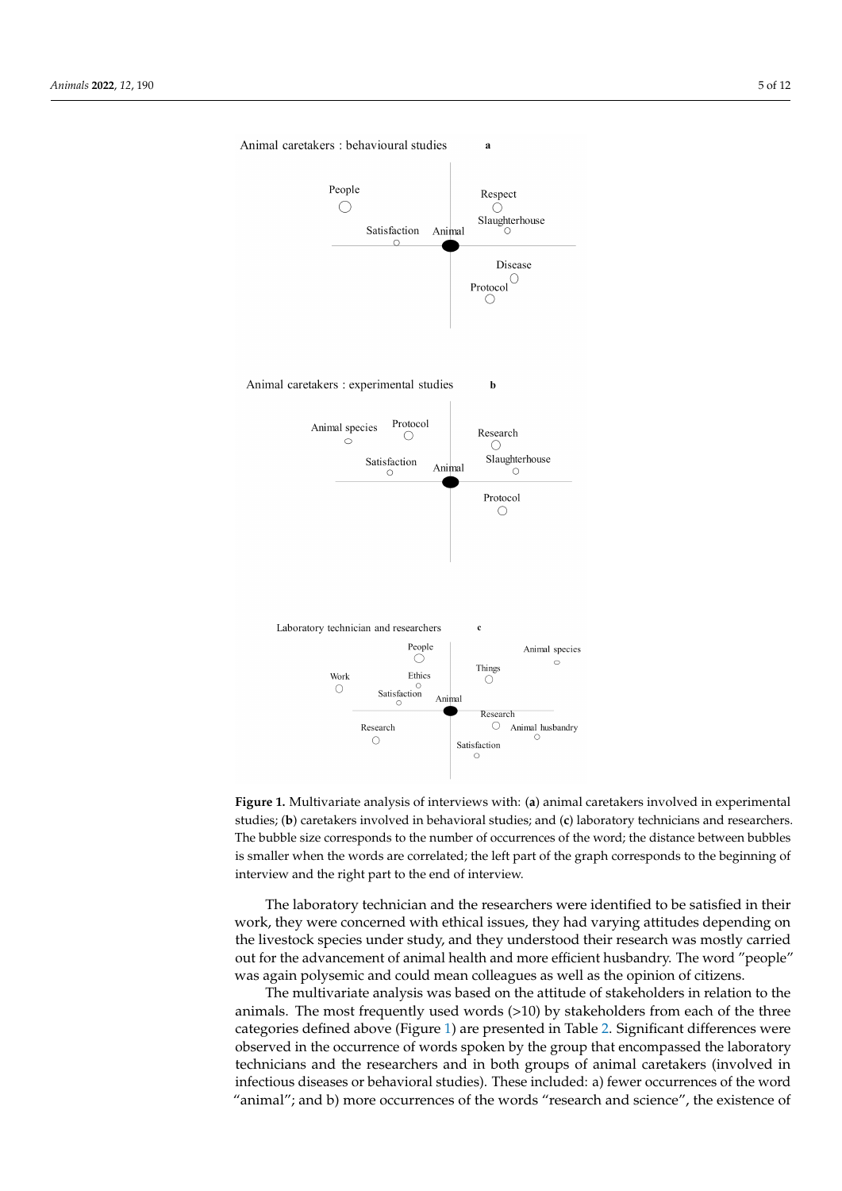

<span id="page-4-0"></span>Animal caretakers: behavioural studies

 $\overline{a}$ 

**Figure 1.** Multivariate analysis of interviews with: (**a**) animal caretakers involved in experimental studies; (**b**) caretakers involved in behavioral studies; and (**c**) laboratory technicians and researchers. The bubble size corresponds to the number of occurrences of the word; the distance between bubbles is smaller when the words are correlated; the left part of the graph corresponds to the beginning of interview and the right part to the end of interview.

The laboratory technician and the researchers were identified to be satisfied in their work, they were concerned with ethical issues, they had varying attitudes depending on the livestock species under study, and they understood their research was mostly carried out for the advancement of animal health and more efficient husbandry. The word "people" was again polysemic and could mean colleagues as well as the opinion of citizens.

The multivariate analysis was based on the attitude of stakeholders in relation to the animals. The most frequently used words (>10) by stakeholders from each of the three categories defined above (Figure [1\)](#page-4-0) are presented in Table [2.](#page-5-0) Significant differences were observed in the occurrence of words spoken by the group that encompassed the laboratory technicians and the researchers and in both groups of animal caretakers (involved in infectious diseases or behavioral studies). These included: a) fewer occurrences of the word "animal"; and b) more occurrences of the words "research and science", the existence of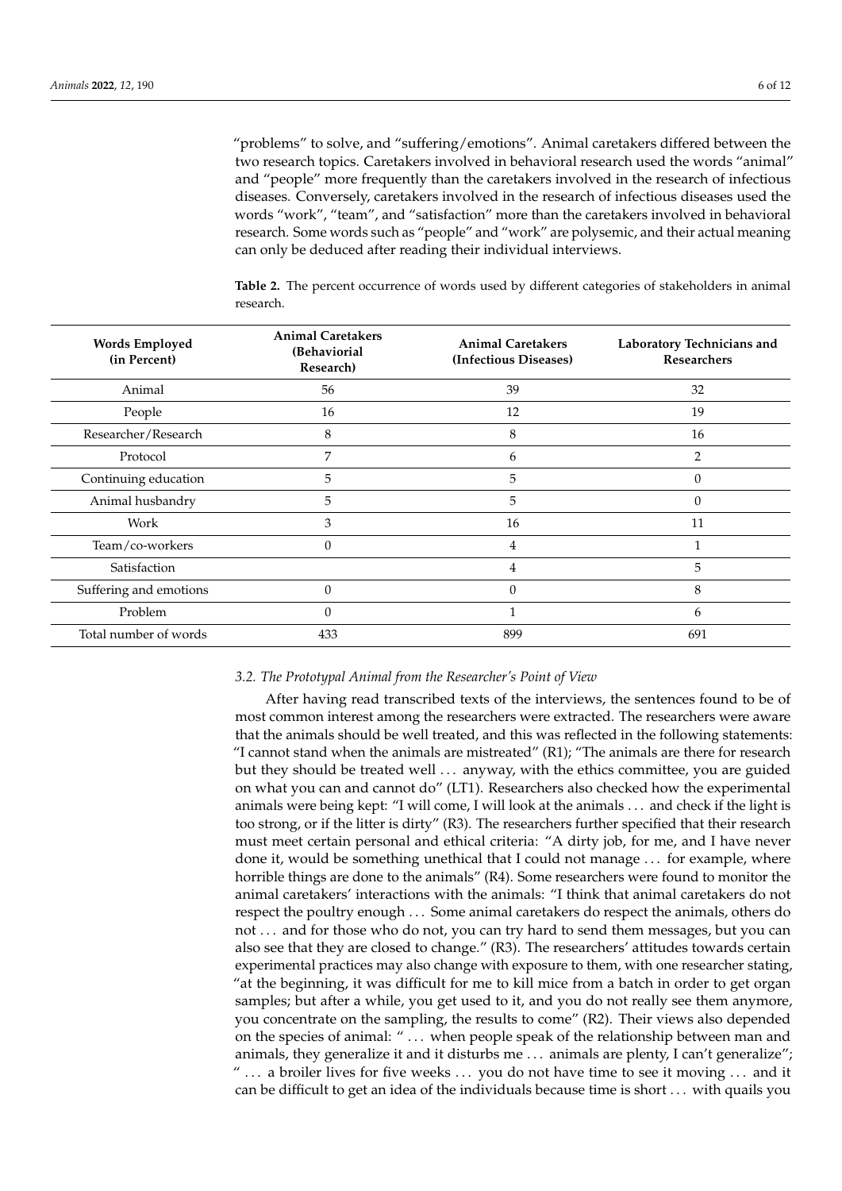"problems" to solve, and "suffering/emotions". Animal caretakers differed between the two research topics. Caretakers involved in behavioral research used the words "animal" and "people" more frequently than the caretakers involved in the research of infectious diseases. Conversely, caretakers involved in the research of infectious diseases used the words "work", "team", and "satisfaction" more than the caretakers involved in behavioral research. Some words such as "people" and "work" are polysemic, and their actual meaning can only be deduced after reading their individual interviews.

| <b>Words Employed</b><br>(in Percent) | <b>Animal Caretakers</b><br>(Behaviorial<br>Research) | <b>Animal Caretakers</b><br>(Infectious Diseases) | Laboratory Technicians and<br><b>Researchers</b> |
|---------------------------------------|-------------------------------------------------------|---------------------------------------------------|--------------------------------------------------|
| Animal                                | 56                                                    | 39                                                | 32                                               |
| People                                | 16                                                    | 12                                                | 19                                               |
| Researcher/Research                   | 8                                                     | 8                                                 | 16                                               |
| Protocol                              | 7                                                     | 6                                                 | 2                                                |
| Continuing education                  | 5                                                     | 5                                                 | $\Omega$                                         |
| Animal husbandry                      | 5                                                     | 5                                                 | $\Omega$                                         |
| Work                                  | 3                                                     | 16                                                | 11                                               |
| Team/co-workers                       | $\theta$                                              | 4                                                 | 1                                                |
| Satisfaction                          |                                                       | 4                                                 | 5                                                |
| Suffering and emotions                | $\theta$                                              | 0                                                 | 8                                                |
| Problem                               | $\theta$                                              |                                                   | 6                                                |
| Total number of words                 | 433                                                   | 899                                               | 691                                              |

<span id="page-5-0"></span>**Table 2.** The percent occurrence of words used by different categories of stakeholders in animal research.

# *3.2. The Prototypal Animal from the Researcher's Point of View*

After having read transcribed texts of the interviews, the sentences found to be of most common interest among the researchers were extracted. The researchers were aware that the animals should be well treated, and this was reflected in the following statements: "I cannot stand when the animals are mistreated"  $(R1)$ ; "The animals are there for research but they should be treated well . . . anyway, with the ethics committee, you are guided on what you can and cannot do" (LT1). Researchers also checked how the experimental animals were being kept: "I will come, I will look at the animals . . . and check if the light is too strong, or if the litter is dirty" (R3). The researchers further specified that their research must meet certain personal and ethical criteria: "A dirty job, for me, and I have never done it, would be something unethical that I could not manage . . . for example, where horrible things are done to the animals" (R4). Some researchers were found to monitor the animal caretakers' interactions with the animals: "I think that animal caretakers do not respect the poultry enough . . . Some animal caretakers do respect the animals, others do not . . . and for those who do not, you can try hard to send them messages, but you can also see that they are closed to change." (R3). The researchers' attitudes towards certain experimental practices may also change with exposure to them, with one researcher stating, "at the beginning, it was difficult for me to kill mice from a batch in order to get organ samples; but after a while, you get used to it, and you do not really see them anymore, you concentrate on the sampling, the results to come" (R2). Their views also depended on the species of animal: " . . . when people speak of the relationship between man and animals, they generalize it and it disturbs me . . . animals are plenty, I can't generalize"; " ... a broiler lives for five weeks ... you do not have time to see it moving ... and it can be difficult to get an idea of the individuals because time is short . . . with quails you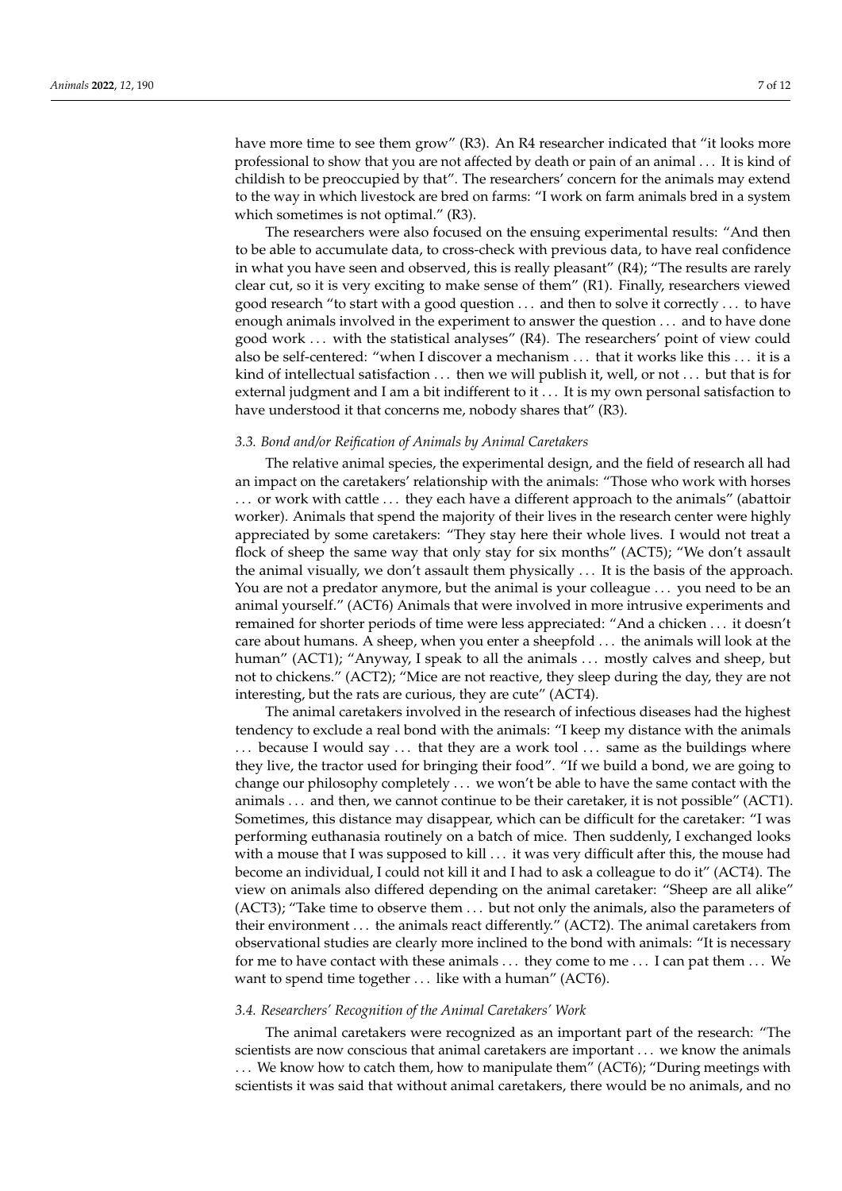have more time to see them grow" (R3). An R4 researcher indicated that "it looks more professional to show that you are not affected by death or pain of an animal . . . It is kind of childish to be preoccupied by that". The researchers' concern for the animals may extend to the way in which livestock are bred on farms: "I work on farm animals bred in a system which sometimes is not optimal." (R3).

The researchers were also focused on the ensuing experimental results: "And then to be able to accumulate data, to cross-check with previous data, to have real confidence in what you have seen and observed, this is really pleasant" (R4); "The results are rarely clear cut, so it is very exciting to make sense of them" (R1). Finally, researchers viewed good research "to start with a good question . . . and then to solve it correctly . . . to have enough animals involved in the experiment to answer the question . . . and to have done good work . . . with the statistical analyses" (R4). The researchers' point of view could also be self-centered: "when I discover a mechanism . . . that it works like this . . . it is a kind of intellectual satisfaction  $\dots$  then we will publish it, well, or not  $\dots$  but that is for external judgment and I am a bit indifferent to it . . . It is my own personal satisfaction to have understood it that concerns me, nobody shares that" (R3).

#### *3.3. Bond and/or Reification of Animals by Animal Caretakers*

The relative animal species, the experimental design, and the field of research all had an impact on the caretakers' relationship with the animals: "Those who work with horses . . . or work with cattle . . . they each have a different approach to the animals" (abattoir worker). Animals that spend the majority of their lives in the research center were highly appreciated by some caretakers: "They stay here their whole lives. I would not treat a flock of sheep the same way that only stay for six months" (ACT5); "We don't assault the animal visually, we don't assault them physically . . . It is the basis of the approach. You are not a predator anymore, but the animal is your colleague . . . you need to be an animal yourself." (ACT6) Animals that were involved in more intrusive experiments and remained for shorter periods of time were less appreciated: "And a chicken . . . it doesn't care about humans. A sheep, when you enter a sheepfold . . . the animals will look at the human" (ACT1); "Anyway, I speak to all the animals ... mostly calves and sheep, but not to chickens." (ACT2); "Mice are not reactive, they sleep during the day, they are not interesting, but the rats are curious, they are cute" (ACT4).

The animal caretakers involved in the research of infectious diseases had the highest tendency to exclude a real bond with the animals: "I keep my distance with the animals ... because I would say ... that they are a work tool ... same as the buildings where they live, the tractor used for bringing their food". "If we build a bond, we are going to change our philosophy completely . . . we won't be able to have the same contact with the animals . . . and then, we cannot continue to be their caretaker, it is not possible" (ACT1). Sometimes, this distance may disappear, which can be difficult for the caretaker: "I was performing euthanasia routinely on a batch of mice. Then suddenly, I exchanged looks with a mouse that I was supposed to kill . . . it was very difficult after this, the mouse had become an individual, I could not kill it and I had to ask a colleague to do it" (ACT4). The view on animals also differed depending on the animal caretaker: "Sheep are all alike" (ACT3); "Take time to observe them . . . but not only the animals, also the parameters of their environment . . . the animals react differently." (ACT2). The animal caretakers from observational studies are clearly more inclined to the bond with animals: "It is necessary for me to have contact with these animals . . . they come to me . . . I can pat them . . . We want to spend time together ... like with a human" (ACT6).

# *3.4. Researchers' Recognition of the Animal Caretakers' Work*

The animal caretakers were recognized as an important part of the research: "The scientists are now conscious that animal caretakers are important . . . we know the animals . . . We know how to catch them, how to manipulate them" (ACT6); "During meetings with scientists it was said that without animal caretakers, there would be no animals, and no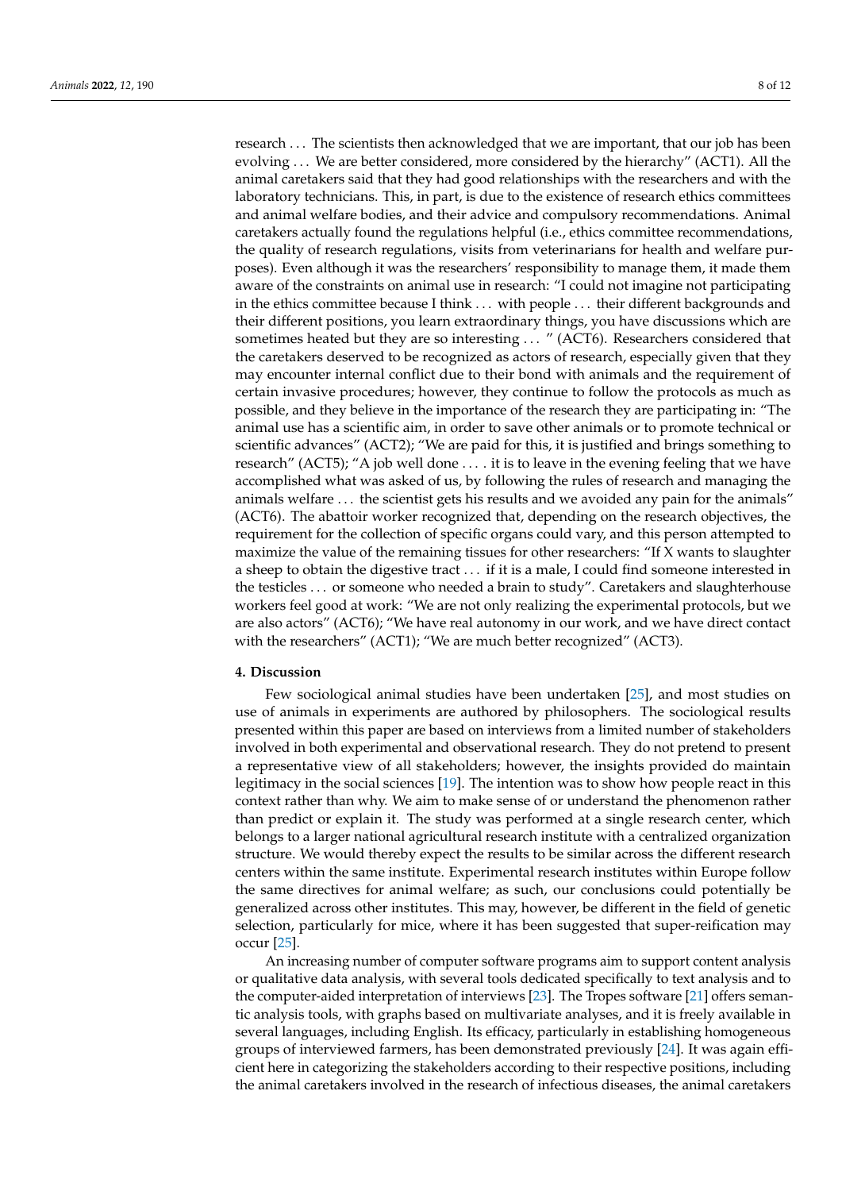research . . . The scientists then acknowledged that we are important, that our job has been evolving . . . We are better considered, more considered by the hierarchy" (ACT1). All the animal caretakers said that they had good relationships with the researchers and with the laboratory technicians. This, in part, is due to the existence of research ethics committees and animal welfare bodies, and their advice and compulsory recommendations. Animal caretakers actually found the regulations helpful (i.e., ethics committee recommendations, the quality of research regulations, visits from veterinarians for health and welfare purposes). Even although it was the researchers' responsibility to manage them, it made them aware of the constraints on animal use in research: "I could not imagine not participating in the ethics committee because I think . . . with people . . . their different backgrounds and their different positions, you learn extraordinary things, you have discussions which are sometimes heated but they are so interesting ... " (ACT6). Researchers considered that the caretakers deserved to be recognized as actors of research, especially given that they may encounter internal conflict due to their bond with animals and the requirement of certain invasive procedures; however, they continue to follow the protocols as much as possible, and they believe in the importance of the research they are participating in: "The animal use has a scientific aim, in order to save other animals or to promote technical or scientific advances" (ACT2); "We are paid for this, it is justified and brings something to research" (ACT5); "A job well done . . . . it is to leave in the evening feeling that we have accomplished what was asked of us, by following the rules of research and managing the animals welfare . . . the scientist gets his results and we avoided any pain for the animals" (ACT6). The abattoir worker recognized that, depending on the research objectives, the requirement for the collection of specific organs could vary, and this person attempted to maximize the value of the remaining tissues for other researchers: "If X wants to slaughter a sheep to obtain the digestive tract . . . if it is a male, I could find someone interested in the testicles . . . or someone who needed a brain to study". Caretakers and slaughterhouse workers feel good at work: "We are not only realizing the experimental protocols, but we are also actors" (ACT6); "We have real autonomy in our work, and we have direct contact with the researchers" (ACT1); "We are much better recognized" (ACT3).

#### **4. Discussion**

Few sociological animal studies have been undertaken [\[25\]](#page-10-24), and most studies on use of animals in experiments are authored by philosophers. The sociological results presented within this paper are based on interviews from a limited number of stakeholders involved in both experimental and observational research. They do not pretend to present a representative view of all stakeholders; however, the insights provided do maintain legitimacy in the social sciences [\[19\]](#page-10-18). The intention was to show how people react in this context rather than why. We aim to make sense of or understand the phenomenon rather than predict or explain it. The study was performed at a single research center, which belongs to a larger national agricultural research institute with a centralized organization structure. We would thereby expect the results to be similar across the different research centers within the same institute. Experimental research institutes within Europe follow the same directives for animal welfare; as such, our conclusions could potentially be generalized across other institutes. This may, however, be different in the field of genetic selection, particularly for mice, where it has been suggested that super-reification may occur [\[25\]](#page-10-24).

An increasing number of computer software programs aim to support content analysis or qualitative data analysis, with several tools dedicated specifically to text analysis and to the computer-aided interpretation of interviews [\[23\]](#page-10-22). The Tropes software [\[21\]](#page-10-20) offers semantic analysis tools, with graphs based on multivariate analyses, and it is freely available in several languages, including English. Its efficacy, particularly in establishing homogeneous groups of interviewed farmers, has been demonstrated previously [\[24\]](#page-10-23). It was again efficient here in categorizing the stakeholders according to their respective positions, including the animal caretakers involved in the research of infectious diseases, the animal caretakers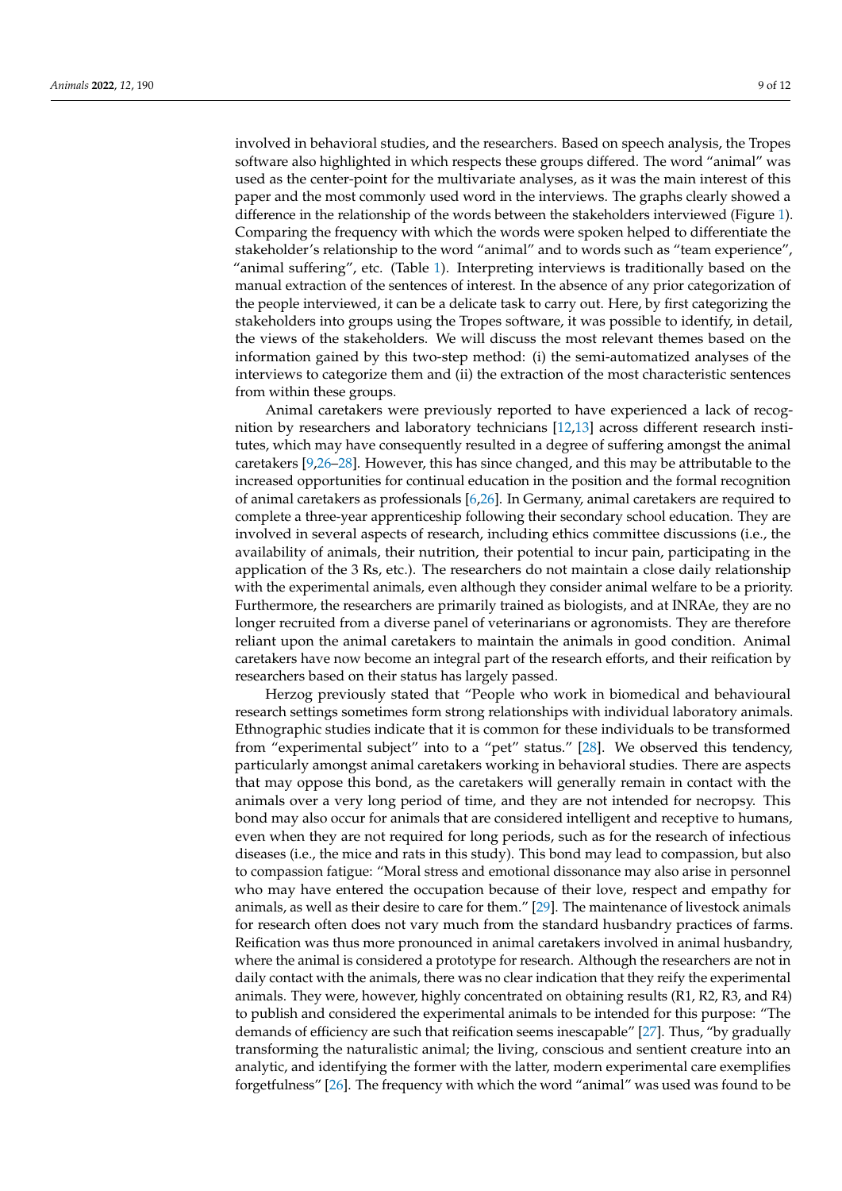involved in behavioral studies, and the researchers. Based on speech analysis, the Tropes software also highlighted in which respects these groups differed. The word "animal" was used as the center-point for the multivariate analyses, as it was the main interest of this paper and the most commonly used word in the interviews. The graphs clearly showed a difference in the relationship of the words between the stakeholders interviewed (Figure [1\)](#page-4-0). Comparing the frequency with which the words were spoken helped to differentiate the stakeholder's relationship to the word "animal" and to words such as "team experience", "animal suffering", etc. (Table [1\)](#page-3-0). Interpreting interviews is traditionally based on the manual extraction of the sentences of interest. In the absence of any prior categorization of the people interviewed, it can be a delicate task to carry out. Here, by first categorizing the stakeholders into groups using the Tropes software, it was possible to identify, in detail, the views of the stakeholders. We will discuss the most relevant themes based on the information gained by this two-step method: (i) the semi-automatized analyses of the interviews to categorize them and (ii) the extraction of the most characteristic sentences from within these groups.

Animal caretakers were previously reported to have experienced a lack of recognition by researchers and laboratory technicians [\[12](#page-10-11)[,13\]](#page-10-12) across different research institutes, which may have consequently resulted in a degree of suffering amongst the animal caretakers [\[9](#page-10-8)[,26](#page-10-25)[–28\]](#page-11-0). However, this has since changed, and this may be attributable to the increased opportunities for continual education in the position and the formal recognition of animal caretakers as professionals [\[6,](#page-10-5)[26\]](#page-10-25). In Germany, animal caretakers are required to complete a three-year apprenticeship following their secondary school education. They are involved in several aspects of research, including ethics committee discussions (i.e., the availability of animals, their nutrition, their potential to incur pain, participating in the application of the 3 Rs, etc.). The researchers do not maintain a close daily relationship with the experimental animals, even although they consider animal welfare to be a priority. Furthermore, the researchers are primarily trained as biologists, and at INRAe, they are no longer recruited from a diverse panel of veterinarians or agronomists. They are therefore reliant upon the animal caretakers to maintain the animals in good condition. Animal caretakers have now become an integral part of the research efforts, and their reification by researchers based on their status has largely passed.

Herzog previously stated that "People who work in biomedical and behavioural research settings sometimes form strong relationships with individual laboratory animals. Ethnographic studies indicate that it is common for these individuals to be transformed from "experimental subject" into to a "pet" status." [\[28\]](#page-11-0). We observed this tendency, particularly amongst animal caretakers working in behavioral studies. There are aspects that may oppose this bond, as the caretakers will generally remain in contact with the animals over a very long period of time, and they are not intended for necropsy. This bond may also occur for animals that are considered intelligent and receptive to humans, even when they are not required for long periods, such as for the research of infectious diseases (i.e., the mice and rats in this study). This bond may lead to compassion, but also to compassion fatigue: "Moral stress and emotional dissonance may also arise in personnel who may have entered the occupation because of their love, respect and empathy for animals, as well as their desire to care for them." [\[29\]](#page-11-1). The maintenance of livestock animals for research often does not vary much from the standard husbandry practices of farms. Reification was thus more pronounced in animal caretakers involved in animal husbandry, where the animal is considered a prototype for research. Although the researchers are not in daily contact with the animals, there was no clear indication that they reify the experimental animals. They were, however, highly concentrated on obtaining results (R1, R2, R3, and R4) to publish and considered the experimental animals to be intended for this purpose: "The demands of efficiency are such that reification seems inescapable" [\[27\]](#page-10-26). Thus, "by gradually transforming the naturalistic animal; the living, conscious and sentient creature into an analytic, and identifying the former with the latter, modern experimental care exemplifies forgetfulness" [\[26\]](#page-10-25). The frequency with which the word "animal" was used was found to be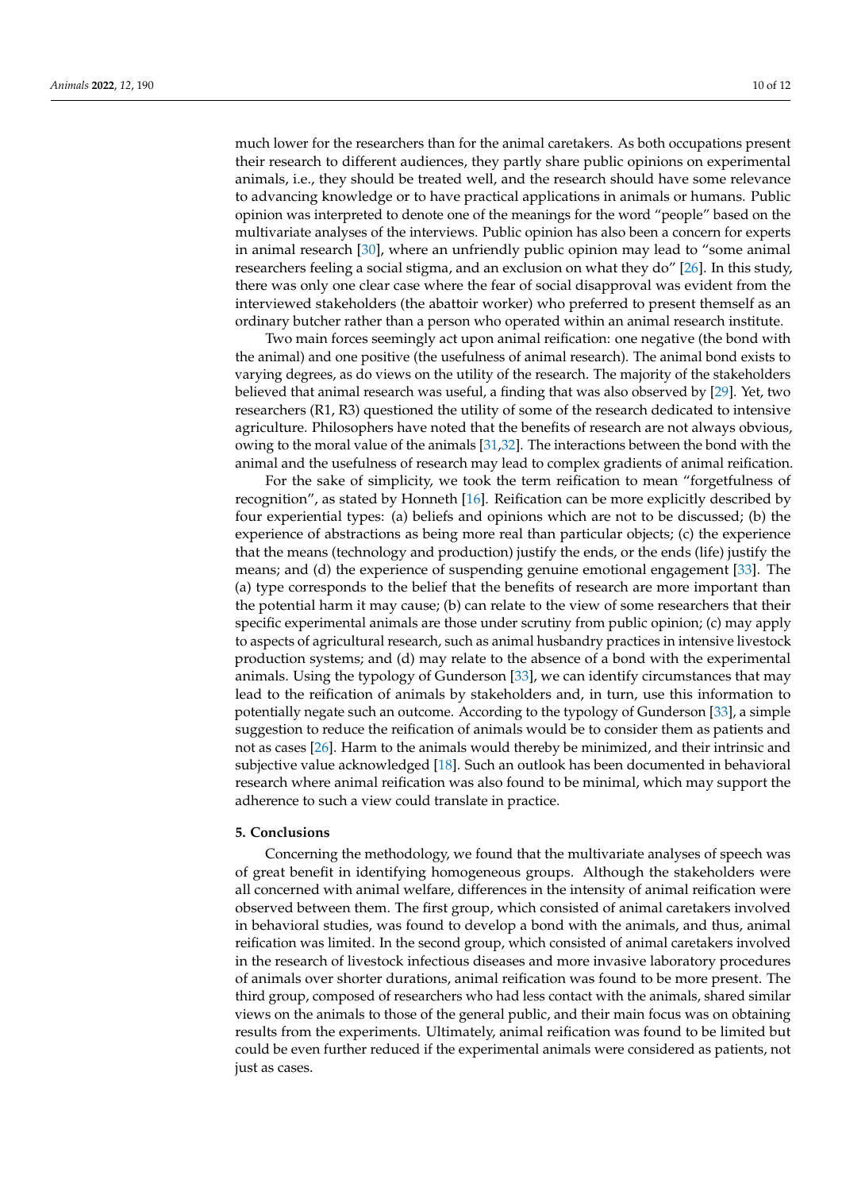much lower for the researchers than for the animal caretakers. As both occupations present their research to different audiences, they partly share public opinions on experimental animals, i.e., they should be treated well, and the research should have some relevance to advancing knowledge or to have practical applications in animals or humans. Public opinion was interpreted to denote one of the meanings for the word "people" based on the multivariate analyses of the interviews. Public opinion has also been a concern for experts in animal research [\[30\]](#page-11-2), where an unfriendly public opinion may lead to "some animal researchers feeling a social stigma, and an exclusion on what they do" [\[26\]](#page-10-25). In this study, there was only one clear case where the fear of social disapproval was evident from the interviewed stakeholders (the abattoir worker) who preferred to present themself as an ordinary butcher rather than a person who operated within an animal research institute.

Two main forces seemingly act upon animal reification: one negative (the bond with the animal) and one positive (the usefulness of animal research). The animal bond exists to varying degrees, as do views on the utility of the research. The majority of the stakeholders believed that animal research was useful, a finding that was also observed by [\[29\]](#page-11-1). Yet, two researchers (R1, R3) questioned the utility of some of the research dedicated to intensive agriculture. Philosophers have noted that the benefits of research are not always obvious, owing to the moral value of the animals [\[31,](#page-11-3)[32\]](#page-11-4). The interactions between the bond with the animal and the usefulness of research may lead to complex gradients of animal reification.

For the sake of simplicity, we took the term reification to mean "forgetfulness of recognition", as stated by Honneth [\[16\]](#page-10-15). Reification can be more explicitly described by four experiential types: (a) beliefs and opinions which are not to be discussed; (b) the experience of abstractions as being more real than particular objects; (c) the experience that the means (technology and production) justify the ends, or the ends (life) justify the means; and (d) the experience of suspending genuine emotional engagement [\[33\]](#page-11-5). The (a) type corresponds to the belief that the benefits of research are more important than the potential harm it may cause; (b) can relate to the view of some researchers that their specific experimental animals are those under scrutiny from public opinion; (c) may apply to aspects of agricultural research, such as animal husbandry practices in intensive livestock production systems; and (d) may relate to the absence of a bond with the experimental animals. Using the typology of Gunderson [\[33\]](#page-11-5), we can identify circumstances that may lead to the reification of animals by stakeholders and, in turn, use this information to potentially negate such an outcome. According to the typology of Gunderson [\[33\]](#page-11-5), a simple suggestion to reduce the reification of animals would be to consider them as patients and not as cases [\[26\]](#page-10-25). Harm to the animals would thereby be minimized, and their intrinsic and subjective value acknowledged [\[18\]](#page-10-17). Such an outlook has been documented in behavioral research where animal reification was also found to be minimal, which may support the adherence to such a view could translate in practice.

# **5. Conclusions**

Concerning the methodology, we found that the multivariate analyses of speech was of great benefit in identifying homogeneous groups. Although the stakeholders were all concerned with animal welfare, differences in the intensity of animal reification were observed between them. The first group, which consisted of animal caretakers involved in behavioral studies, was found to develop a bond with the animals, and thus, animal reification was limited. In the second group, which consisted of animal caretakers involved in the research of livestock infectious diseases and more invasive laboratory procedures of animals over shorter durations, animal reification was found to be more present. The third group, composed of researchers who had less contact with the animals, shared similar views on the animals to those of the general public, and their main focus was on obtaining results from the experiments. Ultimately, animal reification was found to be limited but could be even further reduced if the experimental animals were considered as patients, not just as cases.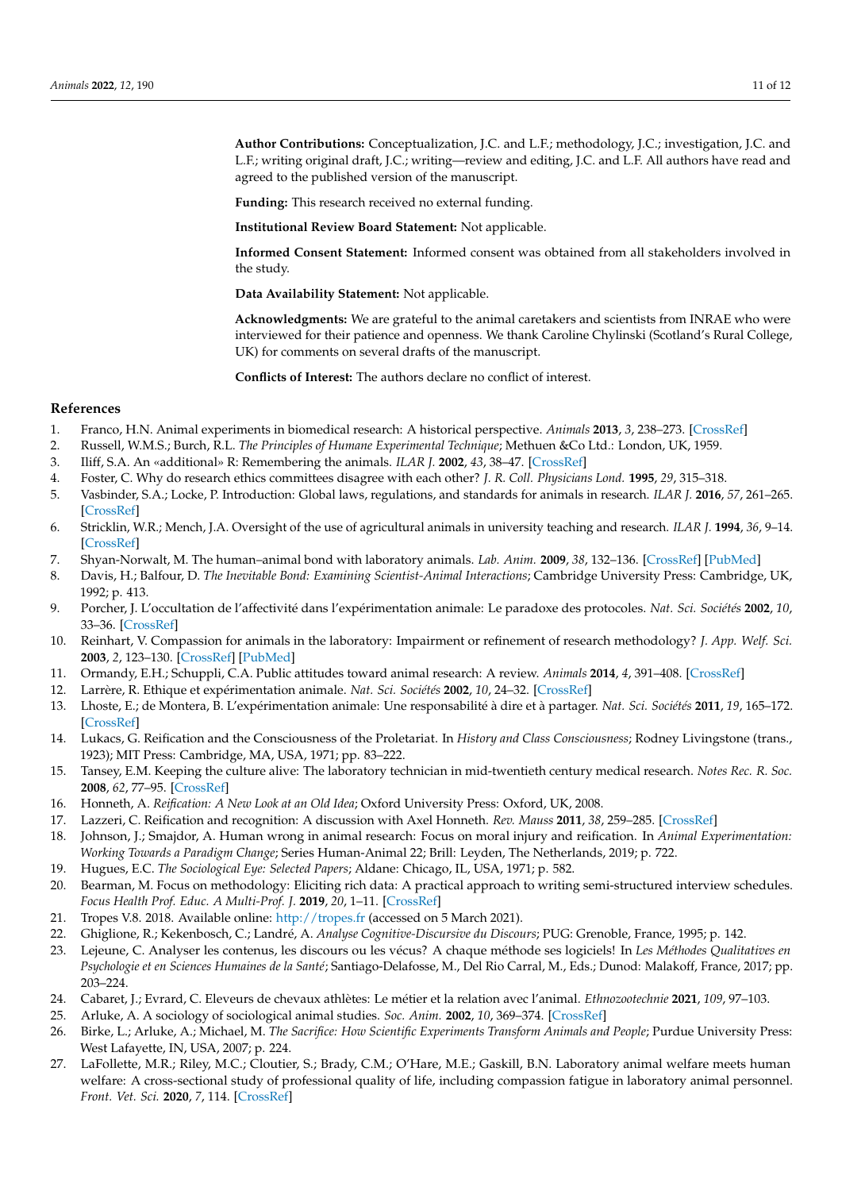**Author Contributions:** Conceptualization, J.C. and L.F.; methodology, J.C.; investigation, J.C. and L.F.; writing original draft, J.C.; writing—review and editing, J.C. and L.F. All authors have read and agreed to the published version of the manuscript.

**Funding:** This research received no external funding.

**Institutional Review Board Statement:** Not applicable.

**Informed Consent Statement:** Informed consent was obtained from all stakeholders involved in the study.

**Data Availability Statement:** Not applicable.

**Acknowledgments:** We are grateful to the animal caretakers and scientists from INRAE who were interviewed for their patience and openness. We thank Caroline Chylinski (Scotland's Rural College, UK) for comments on several drafts of the manuscript.

**Conflicts of Interest:** The authors declare no conflict of interest.

# **References**

- <span id="page-10-0"></span>1. Franco, H.N. Animal experiments in biomedical research: A historical perspective. *Animals* **2013**, *3*, 238–273. [\[CrossRef\]](http://doi.org/10.3390/ani3010238)
- <span id="page-10-1"></span>2. Russell, W.M.S.; Burch, R.L. *The Principles of Humane Experimental Technique*; Methuen &Co Ltd.: London, UK, 1959.
- <span id="page-10-2"></span>3. Iliff, S.A. An «additional» R: Remembering the animals. *ILAR J.* **2002**, *43*, 38–47. [\[CrossRef\]](http://doi.org/10.1093/ilar.43.1.38)
- <span id="page-10-3"></span>4. Foster, C. Why do research ethics committees disagree with each other? *J. R. Coll. Physicians Lond.* **1995**, *29*, 315–318.
- <span id="page-10-4"></span>5. Vasbinder, S.A.; Locke, P. Introduction: Global laws, regulations, and standards for animals in research. *ILAR J.* **2016**, *57*, 261–265. [\[CrossRef\]](http://doi.org/10.1093/ilar/ilw039)
- <span id="page-10-5"></span>6. Stricklin, W.R.; Mench, J.A. Oversight of the use of agricultural animals in university teaching and research. *ILAR J.* **1994**, *36*, 9–14. [\[CrossRef\]](http://doi.org/10.1093/ilar.36.1.9)
- <span id="page-10-6"></span>7. Shyan-Norwalt, M. The human–animal bond with laboratory animals. *Lab. Anim.* **2009**, *38*, 132–136. [\[CrossRef\]](http://doi.org/10.1038/laban0409-132) [\[PubMed\]](http://www.ncbi.nlm.nih.gov/pubmed/19308064)
- <span id="page-10-7"></span>8. Davis, H.; Balfour, D. *The Inevitable Bond: Examining Scientist-Animal Interactions*; Cambridge University Press: Cambridge, UK, 1992; p. 413.
- <span id="page-10-8"></span>9. Porcher, J. L'occultation de l'affectivité dans l'expérimentation animale: Le paradoxe des protocoles. *Nat. Sci. Sociétés* **2002**, *10*, 33–36. [\[CrossRef\]](http://doi.org/10.1016/S1240-1307(02)80006-1)
- <span id="page-10-9"></span>10. Reinhart, V. Compassion for animals in the laboratory: Impairment or refinement of research methodology? *J. App. Welf. Sci.* **2003**, *2*, 123–130. [\[CrossRef\]](http://doi.org/10.1207/S15327604JAWS0602_04) [\[PubMed\]](http://www.ncbi.nlm.nih.gov/pubmed/12909527)
- <span id="page-10-10"></span>11. Ormandy, E.H.; Schuppli, C.A. Public attitudes toward animal research: A review. *Animals* **2014**, *4*, 391–408. [\[CrossRef\]](http://doi.org/10.3390/ani4030391)
- <span id="page-10-11"></span>12. Larrère, R. Ethique et expérimentation animale. *Nat. Sci. Sociétés* **2002**, *10*, 24–32. [\[CrossRef\]](http://doi.org/10.1016/S1240-1307(02)80005-X)
- <span id="page-10-12"></span>13. Lhoste, E.; de Montera, B. L'expérimentation animale: Une responsabilité à dire et à partager. *Nat. Sci. Sociétés* **2011**, *19*, 165–172. [\[CrossRef\]](http://doi.org/10.1051/nss/2011116)
- <span id="page-10-13"></span>14. Lukacs, G. Reification and the Consciousness of the Proletariat. In *History and Class Consciousness*; Rodney Livingstone (trans., 1923); MIT Press: Cambridge, MA, USA, 1971; pp. 83–222.
- <span id="page-10-14"></span>15. Tansey, E.M. Keeping the culture alive: The laboratory technician in mid-twentieth century medical research. *Notes Rec. R. Soc.* **2008**, *62*, 77–95. [\[CrossRef\]](http://doi.org/10.1098/rsnr.2007.0035)
- <span id="page-10-15"></span>16. Honneth, A. *Reification: A New Look at an Old Idea*; Oxford University Press: Oxford, UK, 2008.
- <span id="page-10-16"></span>17. Lazzeri, C. Reification and recognition: A discussion with Axel Honneth. *Rev. Mauss* **2011**, *38*, 259–285. [\[CrossRef\]](http://doi.org/10.3917/rdm.038.0259)
- <span id="page-10-17"></span>18. Johnson, J.; Smajdor, A. Human wrong in animal research: Focus on moral injury and reification. In *Animal Experimentation: Working Towards a Paradigm Change*; Series Human-Animal 22; Brill: Leyden, The Netherlands, 2019; p. 722.
- <span id="page-10-18"></span>19. Hugues, E.C. *The Sociological Eye: Selected Papers*; Aldane: Chicago, IL, USA, 1971; p. 582.
- <span id="page-10-19"></span>20. Bearman, M. Focus on methodology: Eliciting rich data: A practical approach to writing semi-structured interview schedules. *Focus Health Prof. Educ. A Multi-Prof. J.* **2019**, *20*, 1–11. [\[CrossRef\]](http://doi.org/10.11157/fohpe.v20i3.387)
- <span id="page-10-20"></span>21. Tropes V.8. 2018. Available online: <http://tropes.fr> (accessed on 5 March 2021).
- <span id="page-10-21"></span>22. Ghiglione, R.; Kekenbosch, C.; Landré, A. *Analyse Cognitive-Discursive du Discours*; PUG: Grenoble, France, 1995; p. 142.
- <span id="page-10-22"></span>23. Lejeune, C. Analyser les contenus, les discours ou les vécus? A chaque méthode ses logiciels! In *Les Méthodes Qualitatives en Psychologie et en Sciences Humaines de la Santé*; Santiago-Delafosse, M., Del Rio Carral, M., Eds.; Dunod: Malakoff, France, 2017; pp. 203–224.
- <span id="page-10-23"></span>24. Cabaret, J.; Evrard, C. Eleveurs de chevaux athlètes: Le métier et la relation avec l'animal. *Ethnozootechnie* **2021**, *109*, 97–103.
- <span id="page-10-24"></span>25. Arluke, A. A sociology of sociological animal studies. *Soc. Anim.* **2002**, *10*, 369–374. [\[CrossRef\]](http://doi.org/10.1163/156853002320936827)
- <span id="page-10-25"></span>26. Birke, L.; Arluke, A.; Michael, M. *The Sacrifice: How Scientific Experiments Transform Animals and People*; Purdue University Press: West Lafayette, IN, USA, 2007; p. 224.
- <span id="page-10-26"></span>27. LaFollette, M.R.; Riley, M.C.; Cloutier, S.; Brady, C.M.; O'Hare, M.E.; Gaskill, B.N. Laboratory animal welfare meets human welfare: A cross-sectional study of professional quality of life, including compassion fatigue in laboratory animal personnel. *Front. Vet. Sci.* **2020**, *7*, 114. [\[CrossRef\]](http://doi.org/10.3389/fvets.2020.00114)